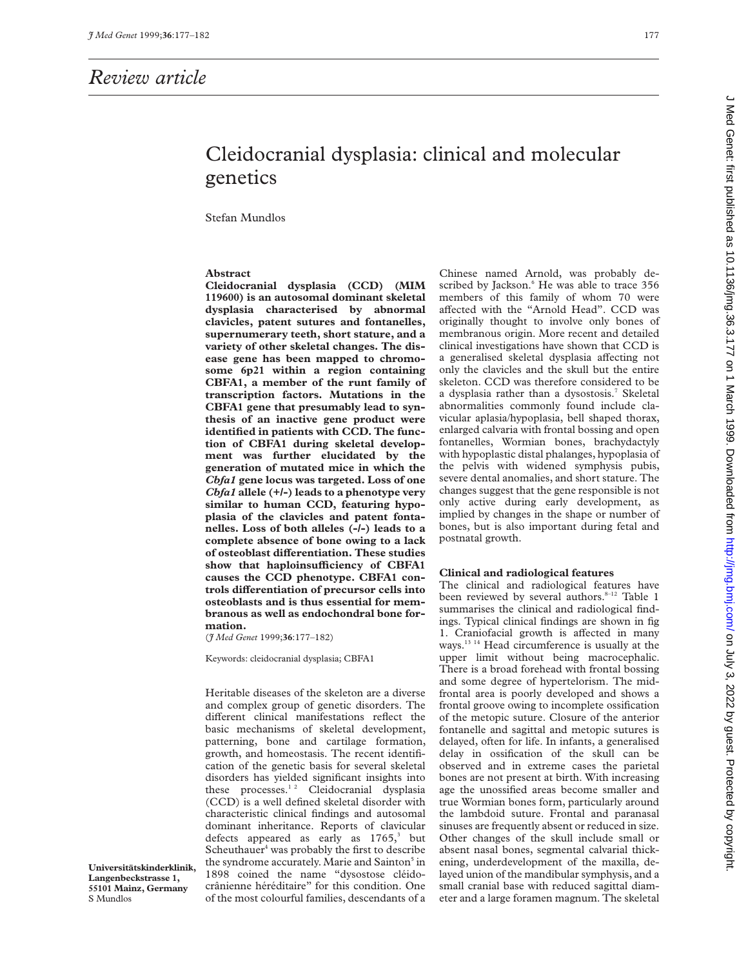## *Review article*

# Cleidocranial dysplasia: clinical and molecular genetics

Stefan Mundlos

## **Abstract**

**Cleidocranial dysplasia (CCD) (MIM 119600) is an autosomal dominant skeletal dysplasia characterised by abnormal clavicles, patent sutures and fontanelles, supernumerary teeth, short stature, and a variety of other skeletal changes. The disease gene has been mapped to chromosome 6p21 within a region containing CBFA1, a member of the runt family of transcription factors. Mutations in the CBFA1 gene that presumably lead to synthesis of an inactive gene product were identified in patients with CCD. The function of CBFA1 during skeletal development was further elucidated by the generation of mutated mice in which the** *Cbfa1* **gene locus was targeted. Loss of one** *Cbfa1* **allele (+/-) leads to a phenotype very similar to human CCD, featuring hypoplasia of the clavicles and patent fontanelles. Loss of both alleles (-/-) leads to a complete absence of bone owing to a lack of osteoblast diVerentiation. These studies** show that haploinsufficiency of CBFA1 **causes the CCD phenotype. CBFA1 controls diVerentiation of precursor cells into osteoblasts and is thus essential for membranous as well as endochondral bone formation.**

(*J Med Genet* 1999;**36**:177–182)

Keywords: cleidocranial dysplasia; CBFA1

Heritable diseases of the skeleton are a diverse and complex group of genetic disorders. The different clinical manifestations reflect the basic mechanisms of skeletal development, patterning, bone and cartilage formation, growth, and homeostasis. The recent identification of the genetic basis for several skeletal disorders has yielded significant insights into these processes.<sup>12</sup> Cleidocranial dysplasia (CCD) is a well defined skeletal disorder with characteristic clinical findings and autosomal dominant inheritance. Reports of clavicular defects appeared as early as  $1765$ ,<sup>3</sup> but Scheuthauer<sup>4</sup> was probably the first to describe the syndrome accurately. Marie and Sainton<sup>5</sup> in 1898 coined the name "dysostose cléidocrânienne héréditaire" for this condition. One of the most colourful families, descendants of a Chinese named Arnold, was probably described by Jackson.<sup>6</sup> He was able to trace 356 members of this family of whom 70 were affected with the "Arnold Head". CCD was originally thought to involve only bones of membranous origin. More recent and detailed clinical investigations have shown that CCD is a generalised skeletal dysplasia affecting not only the clavicles and the skull but the entire skeleton. CCD was therefore considered to be a dysplasia rather than a dysostosis.<sup>7</sup> Skeletal abnormalities commonly found include clavicular aplasia/hypoplasia, bell shaped thorax, enlarged calvaria with frontal bossing and open fontanelles, Wormian bones, brachydactyly with hypoplastic distal phalanges, hypoplasia of the pelvis with widened symphysis pubis, severe dental anomalies, and short stature. The changes suggest that the gene responsible is not only active during early development, as implied by changes in the shape or number of bones, but is also important during fetal and postnatal growth.

#### **Clinical and radiological features**

The clinical and radiological features have been reviewed by several authors.<sup>8-12</sup> Table 1 summarises the clinical and radiological findings. Typical clinical findings are shown in fig 1. Craniofacial growth is affected in many ways.13 14 Head circumference is usually at the upper limit without being macrocephalic. There is a broad forehead with frontal bossing and some degree of hypertelorism. The midfrontal area is poorly developed and shows a frontal groove owing to incomplete ossification of the metopic suture. Closure of the anterior fontanelle and sagittal and metopic sutures is delayed, often for life. In infants, a generalised delay in ossification of the skull can be observed and in extreme cases the parietal bones are not present at birth. With increasing age the unossified areas become smaller and true Wormian bones form, particularly around the lambdoid suture. Frontal and paranasal sinuses are frequently absent or reduced in size. Other changes of the skull include small or absent nasal bones, segmental calvarial thickening, underdevelopment of the maxilla, delayed union of the mandibular symphysis, and a small cranial base with reduced sagittal diameter and a large foramen magnum. The skeletal

**Universitätskinderklinik, Langenbeckstrasse 1, 55101 Mainz, Germany** S Mundlos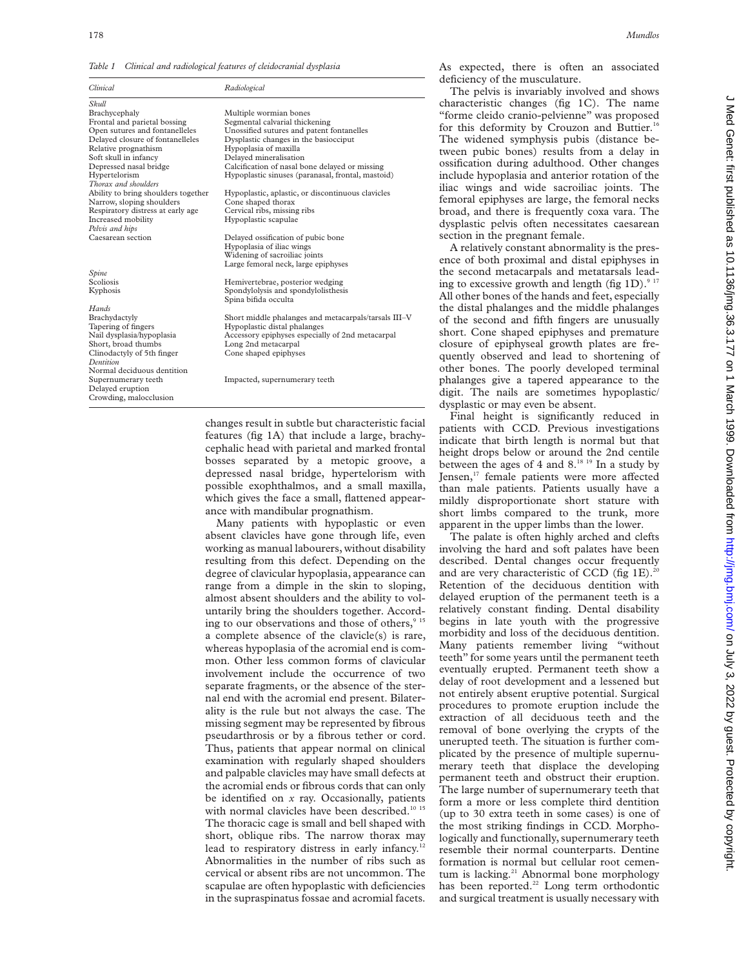*Table 1 Clinical and radiological features of cleidocranial dysplasia*

| Clinical                            | Radiological                                         |
|-------------------------------------|------------------------------------------------------|
| Skull                               |                                                      |
| Brachycephaly                       | Multiple wormian bones                               |
| Frontal and parietal bossing        | Segmental calvarial thickening                       |
| Open sutures and fontanelleles      | Unossified sutures and patent fontanelles            |
| Delayed closure of fontanelleles    | Dysplastic changes in the basiocciput                |
| Relative prognathism                | Hypoplasia of maxilla                                |
| Soft skull in infancy               | Delayed mineralisation                               |
| Depressed nasal bridge              | Calcification of nasal bone delayed or missing       |
| Hypertelorism                       | Hypoplastic sinuses (paranasal, frontal, mastoid)    |
| Thorax and shoulders                |                                                      |
| Ability to bring shoulders together | Hypoplastic, aplastic, or discontinuous clavicles    |
| Narrow, sloping shoulders           | Cone shaped thorax                                   |
| Respiratory distress at early age   | Cervical ribs, missing ribs                          |
| Increased mobility                  | Hypoplastic scapulae                                 |
| Pelvis and hips                     |                                                      |
| Caesarean section                   | Delayed ossification of pubic bone                   |
|                                     | Hypoplasia of iliac wings                            |
|                                     | Widening of sacroiliac joints                        |
|                                     | Large femoral neck, large epiphyses                  |
| Spine                               |                                                      |
| Scoliosis                           | Hemivertebrae, posterior wedging                     |
| Kyphosis                            | Spondylolysis and spondylolisthesis                  |
|                                     | Spina bifida occulta                                 |
| Hands                               |                                                      |
| Brachydactyly                       | Short middle phalanges and metacarpals/tarsals III-V |
| Tapering of fingers                 | Hypoplastic distal phalanges                         |
| Nail dysplasia/hypoplasia           | Accessory epiphyses especially of 2nd metacarpal     |
| Short, broad thumbs                 | Long 2nd metacarpal                                  |
| Clinodactyly of 5th finger          | Cone shaped epiphyses                                |
| Dentition                           |                                                      |
| Normal deciduous dentition          |                                                      |
| Supernumerary teeth                 | Impacted, supernumerary teeth                        |
| Delayed eruption                    |                                                      |
| Crowding, malocclusion              |                                                      |

changes result in subtle but characteristic facial features (fig 1A) that include a large, brachycephalic head with parietal and marked frontal bosses separated by a metopic groove, a depressed nasal bridge, hypertelorism with possible exophthalmos, and a small maxilla, which gives the face a small, flattened appearance with mandibular prognathism.

Many patients with hypoplastic or even absent clavicles have gone through life, even working as manual labourers, without disability resulting from this defect. Depending on the degree of clavicular hypoplasia, appearance can range from a dimple in the skin to sloping, almost absent shoulders and the ability to voluntarily bring the shoulders together. According to our observations and those of others, $915$ a complete absence of the clavicle(s) is rare, whereas hypoplasia of the acromial end is common. Other less common forms of clavicular involvement include the occurrence of two separate fragments, or the absence of the sternal end with the acromial end present. Bilaterality is the rule but not always the case. The missing segment may be represented by fibrous pseudarthrosis or by a fibrous tether or cord. Thus, patients that appear normal on clinical examination with regularly shaped shoulders and palpable clavicles may have small defects at the acromial ends or fibrous cords that can only be identified on *x* ray. Occasionally, patients with normal clavicles have been described.<sup>10 15</sup> The thoracic cage is small and bell shaped with short, oblique ribs. The narrow thorax may lead to respiratory distress in early infancy.<sup>12</sup> Abnormalities in the number of ribs such as cervical or absent ribs are not uncommon. The scapulae are often hypoplastic with deficiencies in the supraspinatus fossae and acromial facets.

As expected, there is often an associated deficiency of the musculature.

The pelvis is invariably involved and shows characteristic changes (fig 1C). The name "forme cleido cranio-pelvienne" was proposed for this deformity by Crouzon and Buttier.<sup>16</sup> The widened symphysis pubis (distance between pubic bones) results from a delay in ossification during adulthood. Other changes include hypoplasia and anterior rotation of the iliac wings and wide sacroiliac joints. The femoral epiphyses are large, the femoral necks broad, and there is frequently coxa vara. The dysplastic pelvis often necessitates caesarean section in the pregnant female.

A relatively constant abnormality is the presence of both proximal and distal epiphyses in the second metacarpals and metatarsals leading to excessive growth and length (fig  $1D$ ).<sup>9</sup> All other bones of the hands and feet, especially the distal phalanges and the middle phalanges of the second and fifth fingers are unusually short. Cone shaped epiphyses and premature closure of epiphyseal growth plates are frequently observed and lead to shortening of other bones. The poorly developed terminal phalanges give a tapered appearance to the digit. The nails are sometimes hypoplastic/ dysplastic or may even be absent.

Final height is significantly reduced in patients with CCD. Previous investigations indicate that birth length is normal but that height drops below or around the 2nd centile between the ages of 4 and 8.18 19 In a study by Jensen,<sup>17</sup> female patients were more affected than male patients. Patients usually have a mildly disproportionate short stature with short limbs compared to the trunk, more apparent in the upper limbs than the lower.

The palate is often highly arched and clefts involving the hard and soft palates have been described. Dental changes occur frequently and are very characteristic of CCD (fig  $1E$ ).<sup>2</sup> Retention of the deciduous dentition with delayed eruption of the permanent teeth is a relatively constant finding. Dental disability begins in late youth with the progressive morbidity and loss of the deciduous dentition. Many patients remember living "without teeth" for some years until the permanent teeth eventually erupted. Permanent teeth show a delay of root development and a lessened but not entirely absent eruptive potential. Surgical procedures to promote eruption include the extraction of all deciduous teeth and the removal of bone overlying the crypts of the unerupted teeth. The situation is further complicated by the presence of multiple supernumerary teeth that displace the developing permanent teeth and obstruct their eruption. The large number of supernumerary teeth that form a more or less complete third dentition (up to 30 extra teeth in some cases) is one of the most striking findings in CCD. Morphologically and functionally, supernumerary teeth resemble their normal counterparts. Dentine formation is normal but cellular root cementum is lacking.<sup>21</sup> Abnormal bone morphology has been reported.<sup>22</sup> Long term orthodontic and surgical treatment is usually necessary with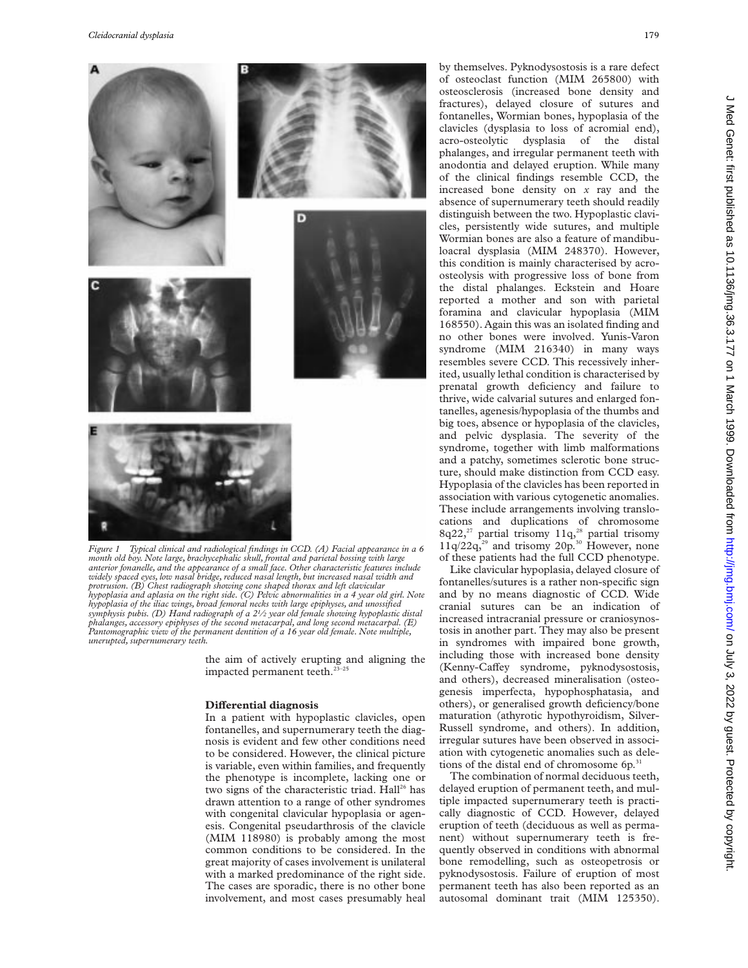

*month old boy. Note large, brachycephalic skull, frontal and parietal bossing with large anterior fonanelle, and the appearance of a small face. Other characteristic features include widely spaced eyes, low nasal bridge, reduced nasal length, but increased nasal width and protrusion. (B) Chest radiograph showing cone shaped thorax and left clavicular hypoplasia and aplasia on the right side. (C) Pelvic abnormalities in a 4 year old girl. Note hypoplasia of the iliac wings, broad femoral necks with large epiphyses, and unossified symphysis pubis. (D) Hand radiograph of a 21⁄2 year old female showing hypoplastic distal phalanges, accessory epiphyses of the second metacarpal, and long second metacarpal. (E) Pantomographic view of the permanent dentition of a 16 year old female. Note multiple, unerupted, supernumerary teeth.*

the aim of actively erupting and aligning the impacted permanent teeth.<sup>23-25</sup>

#### **Differential diagnosis**

In a patient with hypoplastic clavicles, open fontanelles, and supernumerary teeth the diagnosis is evident and few other conditions need to be considered. However, the clinical picture is variable, even within families, and frequently the phenotype is incomplete, lacking one or two signs of the characteristic triad. Hall<sup>26</sup> has drawn attention to a range of other syndromes with congenital clavicular hypoplasia or agenesis. Congenital pseudarthrosis of the clavicle (MIM 118980) is probably among the most common conditions to be considered. In the great majority of cases involvement is unilateral with a marked predominance of the right side. The cases are sporadic, there is no other bone involvement, and most cases presumably heal

by themselves. Pyknodysostosis is a rare defect of osteoclast function (MIM 265800) with osteosclerosis (increased bone density and fractures), delayed closure of sutures and fontanelles, Wormian bones, hypoplasia of the clavicles (dysplasia to loss of acromial end), acro-osteolytic dysplasia of the distal phalanges, and irregular permanent teeth with anodontia and delayed eruption. While many of the clinical findings resemble CCD, the increased bone density on *x* ray and the absence of supernumerary teeth should readily distinguish between the two. Hypoplastic clavicles, persistently wide sutures, and multiple Wormian bones are also a feature of mandibuloacral dysplasia (MIM 248370). However, this condition is mainly characterised by acroosteolysis with progressive loss of bone from the distal phalanges. Eckstein and Hoare reported a mother and son with parietal foramina and clavicular hypoplasia (MIM 168550). Again this was an isolated finding and no other bones were involved. Yunis-Varon syndrome (MIM 216340) in many ways resembles severe CCD. This recessively inherited, usually lethal condition is characterised by prenatal growth deficiency and failure to thrive, wide calvarial sutures and enlarged fontanelles, agenesis/hypoplasia of the thumbs and big toes, absence or hypoplasia of the clavicles, and pelvic dysplasia. The severity of the syndrome, together with limb malformations and a patchy, sometimes sclerotic bone structure, should make distinction from CCD easy. Hypoplasia of the clavicles has been reported in association with various cytogenetic anomalies. These include arrangements involving translocations and duplications of chromosome 8q22,<sup>27</sup> partial trisomy  $11q<sub>2</sub><sup>28</sup>$  partial trisomy  $11q/22q$ ,<sup>29</sup> and trisomy  $20p$ .<sup>30</sup> However, none of these patients had the full CCD phenotype.

Like clavicular hypoplasia, delayed closure of fontanelles/sutures is a rather non-specific sign and by no means diagnostic of CCD. Wide cranial sutures can be an indication of increased intracranial pressure or craniosynostosis in another part. They may also be present in syndromes with impaired bone growth, including those with increased bone density (Kenny-Caffey syndrome, pyknodysostosis, and others), decreased mineralisation (osteogenesis imperfecta, hypophosphatasia, and others), or generalised growth deficiency/bone maturation (athyrotic hypothyroidism, Silver-Russell syndrome, and others). In addition, irregular sutures have been observed in association with cytogenetic anomalies such as deletions of the distal end of chromosome 6p.<sup>31</sup>

The combination of normal deciduous teeth, delayed eruption of permanent teeth, and multiple impacted supernumerary teeth is practically diagnostic of CCD. However, delayed eruption of teeth (deciduous as well as permanent) without supernumerary teeth is frequently observed in conditions with abnormal bone remodelling, such as osteopetrosis or pyknodysostosis. Failure of eruption of most permanent teeth has also been reported as an autosomal dominant trait (MIM 125350).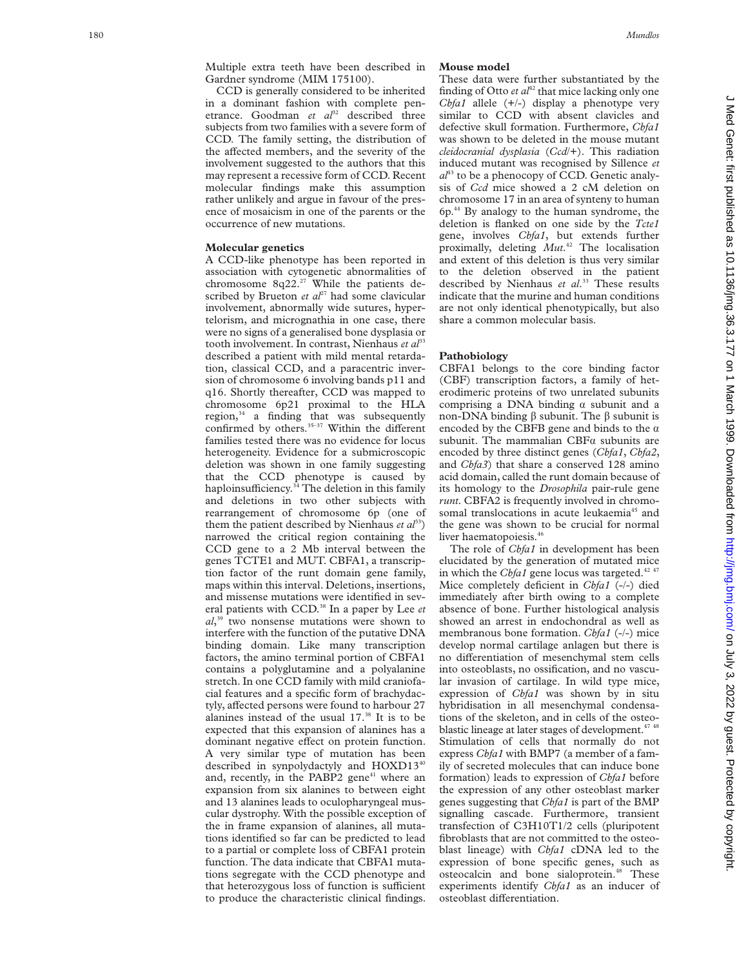Multiple extra teeth have been described in Gardner syndrome (MIM 175100).

CCD is generally considered to be inherited in a dominant fashion with complete penetrance. Goodman et al<sup>32</sup> described three subjects from two families with a severe form of CCD. The family setting, the distribution of the affected members, and the severity of the involvement suggested to the authors that this may represent a recessive form of CCD. Recent molecular findings make this assumption rather unlikely and argue in favour of the presence of mosaicism in one of the parents or the occurrence of new mutations.

## **Molecular genetics**

A CCD-like phenotype has been reported in association with cytogenetic abnormalities of chromosome 8q22.<sup>27</sup> While the patients described by Brueton et al<sup>27</sup> had some clavicular involvement, abnormally wide sutures, hypertelorism, and micrognathia in one case, there were no signs of a generalised bone dysplasia or tooth involvement. In contrast, Nienhaus et al<sup>33</sup> described a patient with mild mental retardation, classical CCD, and a paracentric inversion of chromosome 6 involving bands p11 and q16. Shortly thereafter, CCD was mapped to chromosome 6p21 proximal to the HLA region, $34$  a finding that was subsequently confirmed by others.<sup>35-37</sup> Within the different families tested there was no evidence for locus heterogeneity. Evidence for a submicroscopic deletion was shown in one family suggesting that the CCD phenotype is caused by haploinsufficiency.<sup>34</sup> The deletion in this family and deletions in two other subjects with rearrangement of chromosome 6p (one of them the patient described by Nienhaus  $et \, al^{33}$ ) narrowed the critical region containing the CCD gene to a 2 Mb interval between the genes TCTE1 and MUT. CBFA1, a transcription factor of the runt domain gene family, maps within this interval. Deletions, insertions, and missense mutations were identified in several patients with CCD.<sup>38</sup> In a paper by Lee *et al*, <sup>39</sup> two nonsense mutations were shown to interfere with the function of the putative DNA binding domain. Like many transcription factors, the amino terminal portion of CBFA1 contains a polyglutamine and a polyalanine stretch. In one CCD family with mild craniofacial features and a specific form of brachydactyly, affected persons were found to harbour 27 alanines instead of the usual 17.38 It is to be expected that this expansion of alanines has a dominant negative effect on protein function. A very similar type of mutation has been described in synpolydactyly and HOXD1340 and, recently, in the PABP2 gene<sup>41</sup> where an expansion from six alanines to between eight and 13 alanines leads to oculopharyngeal muscular dystrophy. With the possible exception of the in frame expansion of alanines, all mutations identified so far can be predicted to lead to a partial or complete loss of CBFA1 protein function. The data indicate that CBFA1 mutations segregate with the CCD phenotype and that heterozygous loss of function is sufficient to produce the characteristic clinical findings.

## **Mouse model**

These data were further substantiated by the finding of Otto  $et$   $al<sup>42</sup>$  that mice lacking only one *Cbfa1* allele (+/-) display a phenotype very similar to CCD with absent clavicles and defective skull formation. Furthermore, *Cbfa1* was shown to be deleted in the mouse mutant *cleidocranial dysplasia* (*Ccd*/+). This radiation induced mutant was recognised by Sillence *et*  $a^{l^{43}}$  to be a phenocopy of CCD. Genetic analysis of *Ccd* mice showed a 2 cM deletion on chromosome 17 in an area of synteny to human  $6p<sup>44</sup>$  By analogy to the human syndrome, the deletion is flanked on one side by the *Tcte1* gene, involves *Cbfa1*, but extends further proximally, deleting *Mut* . <sup>42</sup> The localisation and extent of this deletion is thus very similar to the deletion observed in the patient described by Nienhaus *et al* . <sup>33</sup> These results indicate that the murine and human conditions are not only identical phenotypically, but also share a common molecular basis.

#### **Pathobiology**

CBFA1 belongs to the core binding factor (CBF) transcription factors, a family of heterodimeric proteins of two unrelated subunits comprising a DNA binding  $\alpha$  subunit and a non-DNA binding â subunit. The â subunit is encoded by the CBFB gene and binds to the  $\alpha$ subunit. The mammalian  $CBFa$  subunits are encoded by three distinct genes (*Cbfa1* , *Cbfa2* , and *Cbfa3*) that share a conserved 128 amino acid domain, called the runt domain because of its homology to the *Drosophila* pair-rule gene *runt*. CBFA2 is frequently involved in chromosomal translocations in acute leukaemia<sup>45</sup> and the gene was shown to be crucial for normal liver haematopoiesis.<sup>46</sup>

The role of *Cbfa1* in development has been elucidated by the generation of mutated mice in which the *Cbfa1* gene locus was targeted.<sup>42 47</sup> Mice completely deficient in *Cbfa1* (-/-) died immediately after birth owing to a complete absence of bone. Further histological analysis showed an arrest in endochondral as well as membranous bone formation. *Cbfa1* (-/-) mice develop normal cartilage anlagen but there is no di Verentiation of mesenchymal stem cells into osteoblasts, no ossification, and no vascular invasion of cartilage. In wild type mice, expression of *Cbfa1* was shown by in situ hybridisation in all mesenchymal condensations of the skeleton, and in cells of the osteoblastic lineage at later stages of development.<sup>47</sup> <sup>48</sup> Stimulation of cells that normally do not express *Cbfa1* with BMP7 (a member of a family of secreted molecules that can induce bone formation) leads to expression of *Cbfa1* before the expression of any other osteoblast marker genes suggesting that *Cbfa1* is part of the BMP signalling cascade. Furthermore, transient transfection of C3H10T1/2 cells (pluripotent fibroblasts that are not committed to the osteoblast lineage) with *Cbfa1* cDNA led to the expression of bone specific genes, such as osteocalcin and bone sialoprotein.<sup>48</sup> These experiments identify *Cbfa1* as an inducer of osteoblast differentiation.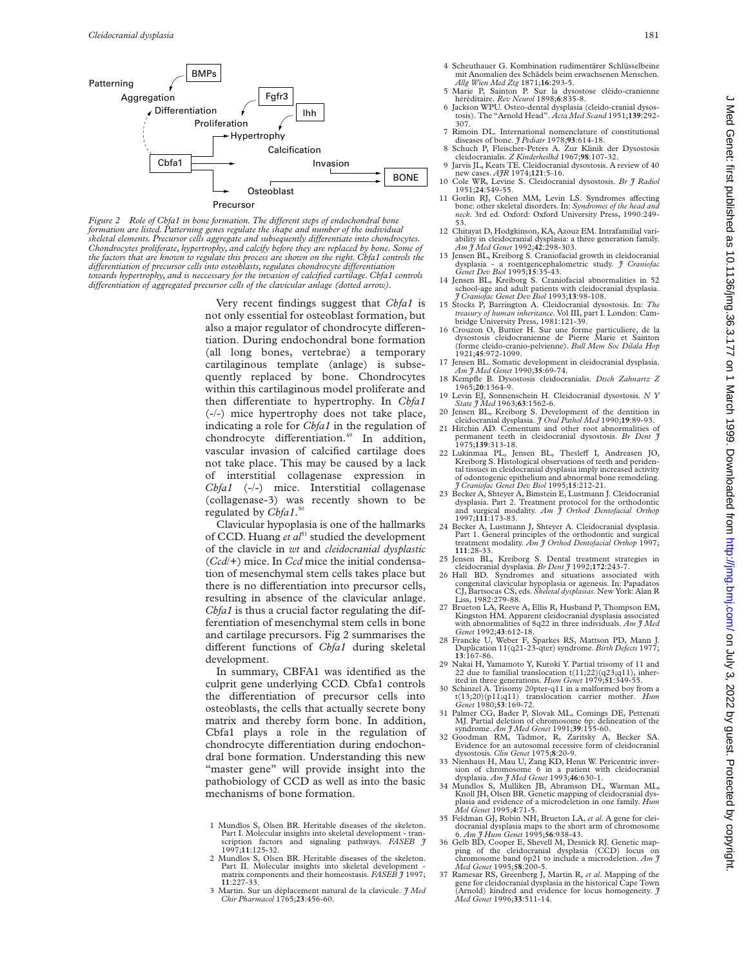

*Figure 2* Role of Cbfa1 in bone formation. The different steps of endochondral bone *formation are listed. Patterning genes regulate the shape and number of the individual skeletal elements. Precursor cells aggregate and subsequently diVerentiate into chondrocytes. Chondrocytes proliferate, hypertrophy, and calcify before they are replaced by bone. Some of the factors that are known to regulate this process are shown on the right. Cbfa1 controls the diVerentiation of precursor cells into osteoblasts, regulates chondrocyte diVerentiation towards hypertrophy, and is neccessary for the invasion of calcified cartilage. Cbfa1 controls diVerentiation of aggregated precursor cells of the clavicular anlage (dotted arrow).*

> Very recent findings suggest that *Cbfa1* is not only essential for osteoblast formation, but also a major regulator of chondrocyte differentiation. During endochondral bone formation (all long bones, vertebrae) a temporary cartilaginous template (anlage) is subsequently replaced by bone. Chondrocytes within this cartilaginous model proliferate and then differentiate to hypertrophy. In *Cbfa1* (-/-) mice hypertrophy does not take place, indicating a role for *Cbfa1* in the regulation of chondrocyte differentiation.<sup>49</sup> In addition, vascular invasion of calcified cartilage does not take place. This may be caused by a lack of interstitial collagenase expression in *Cbfa1* (-/-) mice. Interstitial collagenase (collagenase-3) was recently shown to be regulated by *Cbfa1*. 50

> Clavicular hypoplasia is one of the hallmarks of CCD. Huang *et al*<sup>51</sup> studied the development of the clavicle in *wt* and *cleidocranial dysplastic* (*Ccd*/+) mice. In *Ccd* mice the initial condensation of mesenchymal stem cells takes place but there is no differentiation into precursor cells, resulting in absence of the clavicular anlage. *Cbfa1* is thus a crucial factor regulating the differentiation of mesenchymal stem cells in bone and cartilage precursors. Fig 2 summarises the different functions of *Cbfa1* during skeletal development.

> In summary, CBFA1 was identified as the culprit gene underlying CCD. Cbfa1 controls the differentiation of precursor cells into osteoblasts, the cells that actually secrete bony matrix and thereby form bone. In addition, Cbfa1 plays a role in the regulation of chondrocyte differentiation during endochondral bone formation. Understanding this new "master gene" will provide insight into the pathobiology of CCD as well as into the basic mechanisms of bone formation.

- 1 Mundlos S, Olsen BR. Heritable diseases of the skeleton. Part I. Molecular insights into skeletal development - transcription factors and signaling pathways. *FASEB J* 1997;**11**:125-32.
- 2 Mundlos S, Olsen BR. Heritable diseases of the skeleton. Part II. Molecular insights into skeletal development - matrix components and their homeostasis. *FASEB J* 1997; **11**:227-33.
- 3 Martin. Sur un déplacement natural de la clavicule. *J Med Chir Pharmacol* 1765;**23**:456-60.
- 
- 4 Scheuthauer G. Kombination rudimentärer Schlüsselbeine mit Anomalien des Schädels beim erwachsenen Menschen. *Allg Wien Med Ztg* 1871;**16**:293-5.
- 5 Marie P, Sainton P. Sur la dysostose cléido-cranienne
- héréditaire. *Rev Neurol* 1898;**6**:835-8. 6 Jackson WPU. Osteo-dental dysplasia (cleido-cranial dysostosis). The "Arnold Head". *Acta Med Scand* 1951;**139**:292- 307.
- 7 Rimoin DL. International nomenclature of constitutional diseases of bone. *J Pediatr* 1978;**93**:614-18. 8 Schuch P, Fleischer-Peters A. Zur Klinik der Dysostosis
- cleidocranialis. *Z Kinderheilkd* 1967;**98**:107-32. 9 Jarvis JL, Keats TE. Cleidocranial dysostosis. A review of 40
- new cases. *AJR* 1974;**121**:5-16. 10 Cole WR, Levine S. Cleidocranial dysostosis. *Br J Radiol*
- 1951;**24**:549-55.
- 11 Gorlin RJ, Cohen MM, Levin LS. Syndromes affecting bone: other skeletal disorders. In: *Syndromes of the head and neck*. 3rd ed. Oxford: Oxford University Press, 1990:249- 53.
- 12 Chitayat D, Hodgkinson, KA, Azouz EM. Intrafamilial variability in cleidocranial dysplasia: a three generation family. *Am J Med Genet* 1992;**42**:298-303.
- 13 Jensen BL, Kreiborg S. Craniofacial growth in cleidocranial dysplasia a roentgencephalometric study. *J Craniofac Genet Dev Biol* 1995;**15**:35-43.
- 14 Jensen BL, Kreiborg S. Craniofacial abnormalities in 52 school-age and adult patients with cleidocranial dysplasia. *J Craniofac Genet Dev Biol* 1993;**13**:98-108.
- 15 Stocks P, Barrington A. Cleidocranial dysostosis. In: *The treasury of human inheritance*. Vol III, part I. London: Cam-bridge University Press, 1981:121-39.
- 16 Crouzon O, Buttier H. Sur une forme particuliere, de la dysostosis cleidocranienne de Pierre Marie et Sainton (forme cleido-cranio-pelvienne). *Bull Mem Soc Dilala Hop* 1921;**45**:972-1099.
- 17 Jensen BL. Somatic development in cleidocranial dysplasia. *Am J Med Genet* 1990;**35**:69-74. 18 Kempfle B. Dysostosis cleidocranialis. *Dtsch Zahnartz Z*
- 1965;**20**:1364-9.
- 19 Levin EJ, Sonnenschein H. Cleidocranial dysostosis. *N Y State J Med* 1963;**63**:1562-6.
- 20 Jensen BL, Kreiborg S. Development of the dentition in cleidocranial dysplasia. *J Oral Pathol Med* 1990;**19**:89-93. 21 Hitchin AD. Cementum and other root abnormalities of permanent teeth in cleidocranial dysostosis. *Br Dent J* 1975;**139**:313-18.
- 22 Lukinmaa PL, Jensen BL, Thesleff I, Andreasen JO, Kreiborg S. Histological observations of teeth and peridental tissues in cleidocranial dysplasia imply increased activity of odontogenic epithelium and abnormal bone remodeling. *J Craniofac Genet Dev Biol* 1995;**15**:212-21.
- 23 Becker A, Shteyer A, Bimstein E, Lustmann J. Cleidocranial dysplasia. Part 2. Treatment protocol for the orthodontic and surgical modality. *Am J Orthod Dentofacial Orthop* 1997;**111**:173-83.
- 24 Becker A, Lustmann J, Shteyer A. Cleidocranial dysplasia. Part 1. General principles of the orthodontic and surgical treatment modality. *Am J Orthod Dentofacial Orthop* 1997; **111**:28-33.
- 25 Jensen BL, Kreiborg S. Dental treatment strategies in cleidocranial dysplasia. *Br Dent J* 1992;**172**:243-7.
- 26 Hall BD. Syndromes and situations associated with congenital clavicular hypoplasia or agenesis. In: Papadatos CJ, Bartsocas CS, eds. *Skeletal dysplasias*. New York: Alan R Liss, 1982:279-88.
- 27 Brueton LA, Reeve A, Ellis R, Husband P, Thompson EM, Kingston HM. Apparent cleidocranial dysplasia associated with abnormalities of 8q22 in three individuals. *Am J Med*
- *Genet* 1992;**43**:612-18. 28 Francke U, Weber F, Sparkes RS, Mattson PD, Mann J. Duplication 11(q21-23-qter) syndrome. *Birth Defects* 1977; **13**:167-86.
- 29 Nakai H, Yamamoto Y, Kuroki Y. Partial trisomy of 11 and 22 due to familial translocation t(11;22)(q23;q11), inherited in three generations. *Hum Genet* 1979;**51**:349-55.
- 30 Schinzel A. Trisomy 20pter-q11 in a malformed boy from a  $t(13;20)(p11;q11)$  translocation carrier mother. *Hum* t(13;20)(p11;q11) translocation carrier mother. *Hum Genet* 1980;**53**:169-72.
- 31 Palmer CG, Bader P, Slovak ML, Comings DE, Pettenati
- MJ. Partial deletion of chromosome 6p: delineation of the syndrome. *Am J Med Genet* 1991;**39**:155-60.<br>32 Goodman RM, Tadmor, R, Zaritsky A, Becker SA.<br>Evidence for an autosomal recessive form of cleidocranial dysostosis. *Clin Genet* 1975;**8**:20-9.
- 33 Nienhaus H, Mau U, Zang KD, Henn W. Pericentric inversion of chromosome 6 in a patient with cleidocranial dysplasia. *Am J Med Genet* 1993;**46**:630-1.
- 34 Mundlos S, Mulliken JB, Abramson DL, Warman ML, Knoll JH, Olsen BR. Genetic mapping of cleidocranial dysplasia and evidence of a microdeletion in one family. *Hum Mol Genet* 1995;**4**:71-5.
- 
- 35 Feldman GJ, Robin NH, Brueton LA, *et al.* A gene for clei-<br>docranial dysplasia maps to the short arm of chromosome<br>6. Am *J* Hum Genet 1995;56:938-43.<br>36 Gelb BD, Cooper E, Shevell M, Desnick RJ. Genetic map-<br>ping of
- 37 Ramesar RS, Greenberg J, Martin R, *et al*. Mapping of the gene for cleidocranial dysplasia in the historical Cape Town (Arnold) kindred and evidence for locus homogeneity. *J Med Genet* 1996;**33**:511-14.